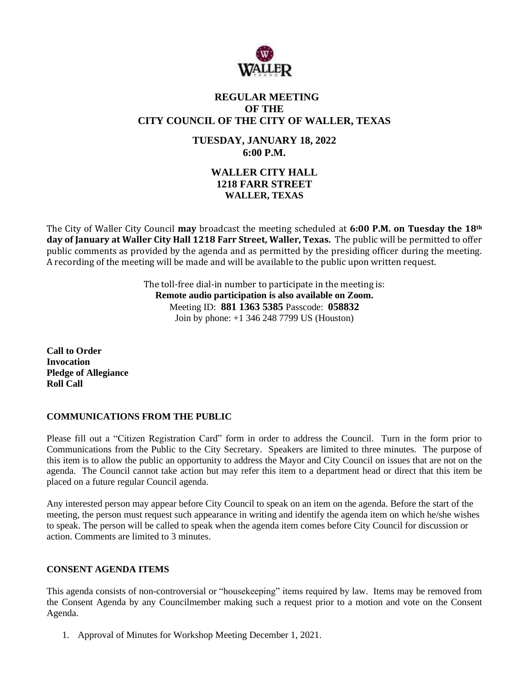

# **REGULAR MEETING OF THE CITY COUNCIL OF THE CITY OF WALLER, TEXAS**

**TUESDAY, JANUARY 18, 2022 6:00 P.M.**

# **WALLER CITY HALL 1218 FARR STREET WALLER, TEXAS**

The City of Waller City Council **may** broadcast the meeting scheduled at **6:00 P.M. on Tuesday the 18th day of January at Waller City Hall 1218 Farr Street, Waller, Texas.** The public will be permitted to offer public comments as provided by the agenda and as permitted by the presiding officer during the meeting. A recording of the meeting will be made and will be available to the public upon written request.

> The toll-free dial-in number to participate in the meeting is: **Remote audio participation is also available on Zoom.** Meeting ID: **881 1363 5385** Passcode: **058832** Join by phone: +1 346 248 7799 US (Houston)

**Call to Order Invocation Pledge of Allegiance Roll Call**

## **COMMUNICATIONS FROM THE PUBLIC**

Please fill out a "Citizen Registration Card" form in order to address the Council. Turn in the form prior to Communications from the Public to the City Secretary. Speakers are limited to three minutes. The purpose of this item is to allow the public an opportunity to address the Mayor and City Council on issues that are not on the agenda. The Council cannot take action but may refer this item to a department head or direct that this item be placed on a future regular Council agenda.

Any interested person may appear before City Council to speak on an item on the agenda. Before the start of the meeting, the person must request such appearance in writing and identify the agenda item on which he/she wishes to speak. The person will be called to speak when the agenda item comes before City Council for discussion or action. Comments are limited to 3 minutes.

## **CONSENT AGENDA ITEMS**

This agenda consists of non-controversial or "housekeeping" items required by law. Items may be removed from the Consent Agenda by any Councilmember making such a request prior to a motion and vote on the Consent Agenda.

1. Approval of Minutes for Workshop Meeting December 1, 2021.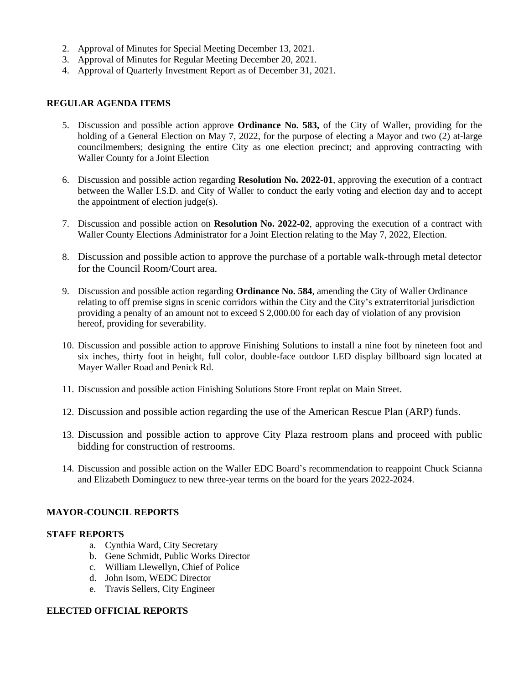- 2. Approval of Minutes for Special Meeting December 13, 2021.
- 3. Approval of Minutes for Regular Meeting December 20, 2021.
- 4. Approval of Quarterly Investment Report as of December 31, 2021.

## **REGULAR AGENDA ITEMS**

- 5. Discussion and possible action approve **Ordinance No. 583,** of the City of Waller, providing for the holding of a General Election on May 7, 2022, for the purpose of electing a Mayor and two (2) at-large councilmembers; designing the entire City as one election precinct; and approving contracting with Waller County for a Joint Election
- 6. Discussion and possible action regarding **Resolution No. 2022-01**, approving the execution of a contract between the Waller I.S.D. and City of Waller to conduct the early voting and election day and to accept the appointment of election judge(s).
- 7. Discussion and possible action on **Resolution No. 2022-02**, approving the execution of a contract with Waller County Elections Administrator for a Joint Election relating to the May 7, 2022, Election.
- 8. Discussion and possible action to approve the purchase of a portable walk-through metal detector for the Council Room/Court area.
- 9. Discussion and possible action regarding **Ordinance No. 584**, amending the City of Waller Ordinance relating to off premise signs in scenic corridors within the City and the City's extraterritorial jurisdiction providing a penalty of an amount not to exceed \$ 2,000.00 for each day of violation of any provision hereof, providing for severability.
- 10. Discussion and possible action to approve Finishing Solutions to install a nine foot by nineteen foot and six inches, thirty foot in height, full color, double-face outdoor LED display billboard sign located at Mayer Waller Road and Penick Rd.
- 11. Discussion and possible action Finishing Solutions Store Front replat on Main Street.
- 12. Discussion and possible action regarding the use of the American Rescue Plan (ARP) funds.
- 13. Discussion and possible action to approve City Plaza restroom plans and proceed with public bidding for construction of restrooms.
- 14. Discussion and possible action on the Waller EDC Board's recommendation to reappoint Chuck Scianna and Elizabeth Dominguez to new three-year terms on the board for the years 2022-2024.

## **MAYOR-COUNCIL REPORTS**

## **STAFF REPORTS**

- a. Cynthia Ward, City Secretary
- b. Gene Schmidt, Public Works Director
- c. William Llewellyn, Chief of Police
- d. John Isom, WEDC Director
- e. Travis Sellers, City Engineer

## **ELECTED OFFICIAL REPORTS**